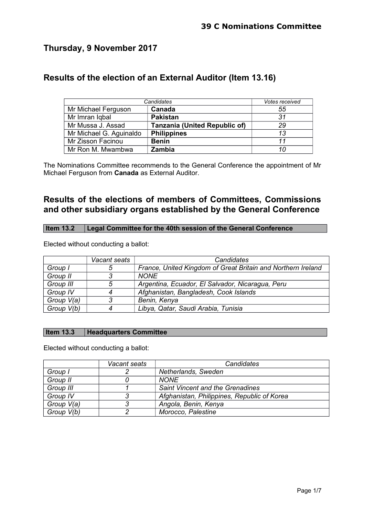# **Thursday, 9 November 2017**

# **Results of the election of an External Auditor (Item 13.16)**

| Candidates              |                                      | Votes received |
|-------------------------|--------------------------------------|----------------|
| Mr Michael Ferguson     | Canada                               | 55             |
| Mr Imran Iqbal          | <b>Pakistan</b>                      | 31             |
| Mr Mussa J. Assad       | <b>Tanzania (United Republic of)</b> | 29             |
| Mr Michael G. Aguinaldo | <b>Philippines</b>                   | 13             |
| Mr Zisson Facinou       | <b>Benin</b>                         | 11             |
| Mr Ron M. Mwambwa       | Zambia                               | 10             |

The Nominations Committee recommends to the General Conference the appointment of Mr Michael Ferguson from **Canada** as External Auditor.

# **Results of the elections of members of Committees, Commissions and other subsidiary organs established by the General Conference**

### **Item 13.2 Legal Committee for the 40th session of the General Conference**

Elected without conducting a ballot:

|            | Vacant seats | Candidates                                                   |
|------------|--------------|--------------------------------------------------------------|
| Group I    | 5            | France, United Kingdom of Great Britain and Northern Ireland |
| Group II   |              | <b>NONE</b>                                                  |
| Group III  | 5            | Argentina, Ecuador, El Salvador, Nicaragua, Peru             |
| Group IV   | 4            | Afghanistan, Bangladesh, Cook Islands                        |
| Group V(a) |              | Benin, Kenya                                                 |
| Group V(b) |              | Libya, Qatar, Saudi Arabia, Tunisia                          |

# **Item 13.3 Headquarters Committee**

|            | Vacant seats | Candidates                                  |
|------------|--------------|---------------------------------------------|
| Group I    |              | Netherlands, Sweden                         |
| Group II   |              | <b>NONE</b>                                 |
| Group III  |              | Saint Vincent and the Grenadines            |
| Group IV   | ?            | Afghanistan, Philippines, Republic of Korea |
| Group V(a) | 3            | Angola, Benin, Kenya                        |
| Group V(b) |              | Morocco, Palestine                          |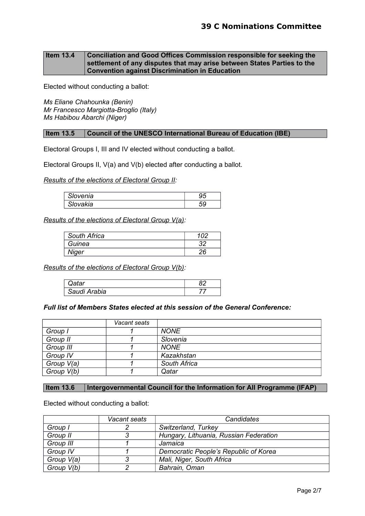#### **Item 13.4 Conciliation and Good Offices Commission responsible for seeking the settlement of any disputes that may arise between States Parties to the Convention against Discrimination in Education**

Elected without conducting a ballot:

*Ms Eliane Chahounka (Benin) Mr Francesco Margiotta-Broglio (Italy) Ms Habibou Abarchi (Niger)*

#### **Item 13.5 Council of the UNESCO International Bureau of Education (IBE)**

Electoral Groups I, III and IV elected without conducting a ballot.

Electoral Groups II, V(a) and V(b) elected after conducting a ballot.

*Results of the elections of Electoral Group II:*

| $\sim$<br>ына<br>7 V V | JU |
|------------------------|----|
| akıa                   | ັັ |

*Results of the elections of Electoral Group V(a):*

| South Africa |    |
|--------------|----|
| Guinea       | つつ |
| Niger        | 26 |

*Results of the elections of Electoral Group V(b):*

| - -                | ິ |
|--------------------|---|
| di Arabia<br>Sauc. |   |

#### *Full list of Members States elected at this session of the General Conference:*

|            | Vacant seats |              |
|------------|--------------|--------------|
| Group I    |              | <b>NONE</b>  |
| Group II   |              | Slovenia     |
| Group III  |              | <b>NONE</b>  |
| Group IV   |              | Kazakhstan   |
| Group V(a) |              | South Africa |
| Group V(b) |              | Qatar        |

#### **Item 13.6 | Intergovernmental Council for the Information for All Programme (IFAP)**

|            | Vacant seats | Candidates                             |
|------------|--------------|----------------------------------------|
| Group I    |              | Switzerland, Turkey                    |
| Group II   |              | Hungary, Lithuania, Russian Federation |
| Group III  |              | Jamaica                                |
| Group IV   |              | Democratic People's Republic of Korea  |
| Group V(a) |              | Mali, Niger, South Africa              |
| Group V(b) |              | Bahrain, Oman                          |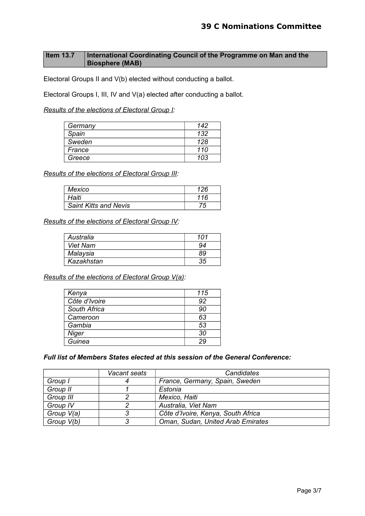# **Item 13.7** International Coordinating Council of the Programme on Man and the **Biosphere (MAB)**

Electoral Groups II and V(b) elected without conducting a ballot.

Electoral Groups I, III, IV and V(a) elected after conducting a ballot.

*Results of the elections of Electoral Group I:*

| Germany | 142 |
|---------|-----|
| Spain   | 132 |
| Sweden  | 128 |
| France  | 110 |
| Greece  | 103 |

*Results of the elections of Electoral Group III:*

| Mexico                       | 126 |
|------------------------------|-----|
| Haiti                        | 116 |
| <b>Saint Kitts and Nevis</b> | 75  |

*Results of the elections of Electoral Group IV:*

| Australia       | 101 |
|-----------------|-----|
| <b>Viet Nam</b> | 94  |
| Malaysia        | 89  |
| Kazakhstan      |     |

*Results of the elections of Electoral Group V(a):*

| Kenya         | 115 |
|---------------|-----|
| Côte d'Ivoire | 92  |
| South Africa  | 90  |
| Cameroon      | 63  |
| Gambia        | 53  |
| Niger         | 30  |
| Guinea        | 29  |

*Full list of Members States elected at this session of the General Conference:*

|            | Vacant seats | Candidates                         |
|------------|--------------|------------------------------------|
| Group I    |              | France, Germany, Spain, Sweden     |
| Group II   |              | Estonia                            |
| Group III  |              | Mexico, Haiti                      |
| Group IV   | റ            | Australia, Viet Nam                |
| Group V(a) | ર            | Côte d'Ivoire, Kenya, South Africa |
| Group V(b) | 3            | Oman, Sudan, United Arab Emirates  |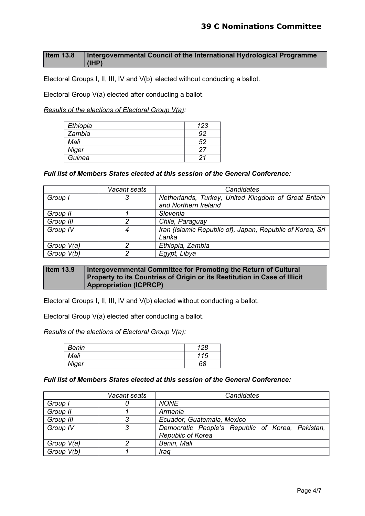### **Item 13.8 Intergovernmental Council of the International Hydrological Programme (IHP)**

Electoral Groups I, II, III, IV and V(b) elected without conducting a ballot.

Electoral Group V(a) elected after conducting a ballot.

*Results of the elections of Electoral Group V(a):*

| Ethiopia | 123 |
|----------|-----|
| Zambia   |     |
| Mali     | 52  |
| Niger    |     |
| Guinea   |     |

#### *Full list of Members States elected at this session of the General Conference:*

|            | Vacant seats | Candidates                                                |
|------------|--------------|-----------------------------------------------------------|
| Group I    | 3            | Netherlands, Turkey, United Kingdom of Great Britain      |
|            |              | and Northern Ireland                                      |
| Group II   |              | Slovenia                                                  |
| Group III  | 2            | Chile, Paraguay                                           |
| Group IV   | 4            | Iran (Islamic Republic of), Japan, Republic of Korea, Sri |
|            |              | Lanka                                                     |
| Group V(a) | 2            | Ethiopia, Zambia                                          |
| Group V(b) | ົ            | Egypt, Libya                                              |

#### **Item 13.9 | Intergovernmental Committee for Promoting the Return of Cultural Property to its Countries of Origin or its Restitution in Case of Illicit Appropriation (ICPRCP)**

Electoral Groups I, II, III, IV and V(b) elected without conducting a ballot.

Electoral Group V(a) elected after conducting a ballot.

*Results of the elections of Electoral Group V(a):*

| Benin | 128 |
|-------|-----|
| Mali  | 115 |
| Niger | 68  |

*Full list of Members States elected at this session of the General Conference:*

|            | Vacant seats | Candidates                                       |
|------------|--------------|--------------------------------------------------|
| Group I    |              | <b>NONE</b>                                      |
| Group II   |              | Armenia                                          |
| Group III  | R            | Ecuador, Guatemala, Mexico                       |
| Group IV   | 3            | Democratic People's Republic of Korea, Pakistan, |
|            |              | <b>Republic of Korea</b>                         |
| Group V(a) | n            | Benin, Mali                                      |
| Group V(b) |              | Iraa                                             |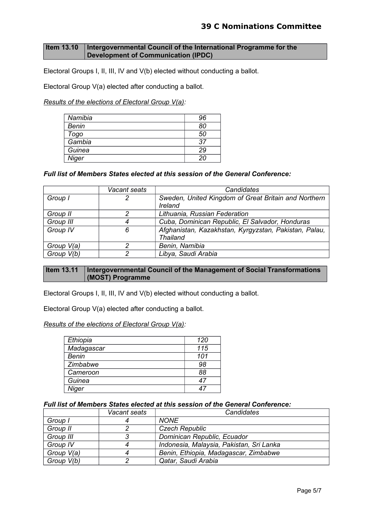## **Item 13.10 | Intergovernmental Council of the International Programme for the Development of Communication (IPDC)**

Electoral Groups I, II, III, IV and V(b) elected without conducting a ballot.

Electoral Group V(a) elected after conducting a ballot.

*Results of the elections of Electoral Group V(a):*

| Namibia      | 96           |
|--------------|--------------|
| <b>Benin</b> | 80           |
| Togo         | 50           |
| Gambia       | 37           |
| Guinea       | 29           |
| Niger        | $20^{\circ}$ |

# *Full list of Members States elected at this session of the General Conference:*

|            | Vacant seats | Candidates                                            |
|------------|--------------|-------------------------------------------------------|
| Group I    | 2            | Sweden, United Kingdom of Great Britain and Northern  |
|            |              | Ireland                                               |
| Group II   | 2            | Lithuania, Russian Federation                         |
| Group III  |              | Cuba, Dominican Republic, El Salvador, Honduras       |
| Group IV   | 6            | Afghanistan, Kazakhstan, Kyrgyzstan, Pakistan, Palau, |
|            |              | <b>Thailand</b>                                       |
| Group V(a) | ົ            | Benin, Namibia                                        |
| Group V(b) | າ            | Libya, Saudi Arabia                                   |

### **Item 13.11 Intergovernmental Council of the Management of Social Transformations (MOST) Programme**

Electoral Groups I, II, III, IV and V(b) elected without conducting a ballot.

Electoral Group V(a) elected after conducting a ballot.

*Results of the elections of Electoral Group V(a):*

| Ethiopia     | 120 |
|--------------|-----|
| Madagascar   | 115 |
| <b>Benin</b> | 101 |
| Zimbabwe     | 98  |
| Cameroon     | 88  |
| Guinea       | 47  |
| Niger        |     |

#### *Full list of Members States elected at this session of the General Conference:*

|            | Vacant seats | Candidates                               |
|------------|--------------|------------------------------------------|
| Group I    |              | <b>NONE</b>                              |
| Group II   |              | <b>Czech Republic</b>                    |
| Group III  |              | Dominican Republic, Ecuador              |
| Group IV   |              | Indonesia, Malaysia, Pakistan, Sri Lanka |
| Group V(a) |              | Benin, Ethiopia, Madagascar, Zimbabwe    |
| Group V(b) |              | Qatar, Saudi Arabia                      |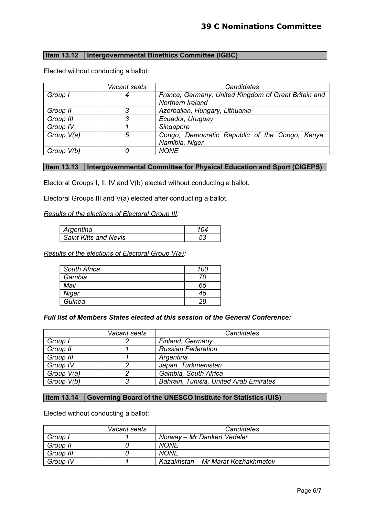## **Item 13.12 Intergovernmental Bioethics Committee (IGBC)**

|            | Vacant seats | Candidates                                                               |
|------------|--------------|--------------------------------------------------------------------------|
| Group I    | 4            | France, Germany, United Kingdom of Great Britain and<br>Northern Ireland |
| Group II   |              | Azerbaijan, Hungary, Lithuania                                           |
| Group III  | 3            | Ecuador, Uruguay                                                         |
| Group IV   |              | Singapore                                                                |
| Group V(a) | 5            | Congo, Democratic Republic of the Congo, Kenya,<br>Namibia, Niger        |
| Group V(b) |              | <b>NONE</b>                                                              |

Elected without conducting a ballot:

# **Item 13.13 Intergovernmental Committee for Physical Education and Sport (CIGEPS)**

Electoral Groups I, II, IV and V(b) elected without conducting a ballot.

Electoral Groups III and V(a) elected after conducting a ballot.

*Results of the elections of Electoral Group III:*

| ' Argentina           |  |
|-----------------------|--|
| Saint Kitts and Nevis |  |

*Results of the elections of Electoral Group V(a):*

| South Africa | 100 |
|--------------|-----|
| Gambia       | 70  |
| Mali         | 65  |
| Niger        | 45  |
| Guinea       | 29  |

#### *Full list of Members States elected at this session of the General Conference:*

|            | Vacant seats | Candidates                             |
|------------|--------------|----------------------------------------|
| Group I    |              | Finland, Germany                       |
| Group II   |              | <b>Russian Federation</b>              |
| Group III  |              | Argentina                              |
| Group IV   |              | Japan, Turkmenistan                    |
| Group V(a) |              | Gambia, South Africa                   |
| Group V(b) | ≏            | Bahrain, Tunisia, United Arab Emirates |

### **Item 13.14 Governing Board of the UNESCO Institute for Statistics (UIS)**

|           | Vacant seats | <b>Candidates</b>                  |
|-----------|--------------|------------------------------------|
| Group I   |              | Norway – Mr Dankert Vedeler        |
| Group II  |              | <b>NONE</b>                        |
| Group III |              | <b>NONE</b>                        |
| Group IV  |              | Kazakhstan – Mr Marat Kozhakhmetov |